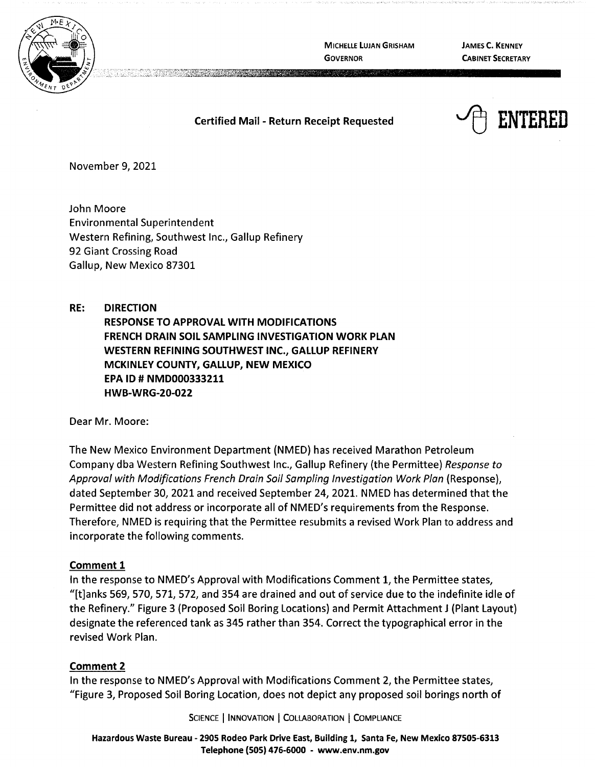

**MICHELLE LUJAN GRISHAM GOVERNOR** 

cide with an iten

**JAMES C. KENNEY CABINET SECRETARY** 

### **Certified Mail** - **Return Receipt Requested**



November 9, 2021

John Moore Environmental Superintendent Western Refining, Southwest Inc., Gallup Refinery 92 Giant Crossing Road Gallup, New Mexico 87301

**RE: DIRECTION RESPONSE TO APPROVAL WITH MODIFICATIONS FRENCH DRAIN SOIL SAMPLING INVESTIGATION WORK PLAN WESTERN REFINING SOUTHWEST INC., GALLUP REFINERY MCKINLEY COUNTY, GALLUP, NEW MEXICO EPA ID# NMD000333211 HWB-WRG-20-022** 

Dear Mr. Moore:

The New Mexico Environment Department (NMED) has received Marathon Petroleum Company dba Western Refining Southwest Inc., Gallup Refinery (the Permittee) Response to Approval with Modifications French Drain Soil Sampling Investigation Work Plan (Response), dated September 30, 2021 and received September 24, 2021. NMED has determined that the Permittee did not address or incorporate all of NMED's requirements from the Response. Therefore, NMED is requiring that the Permittee resubmits a revised Work Plan to address and incorporate the following comments.

#### **Comment 1**

In the response to NMED's Approval with Modifications Comment 1, the Permittee states, "[t]anks 569, 570, 571, 572, and 354 are drained and out of service due to the indefinite idle of the Refinery." Figure 3 (Proposed Soil Boring Locations) and Permit Attachment J (Plant Layout) designate the referenced tank as 345 rather than 354. Correct the typographical error in the revised Work Plan.

#### **Comment 2**

In the response to NMED's Approval with Modifications Comment 2, the Permittee states, "Figure 3, Proposed Soil Boring Location, does not depict any proposed soil borings north of

SCIENCE | INNOVATION | COLLABORATION | COMPLIANCE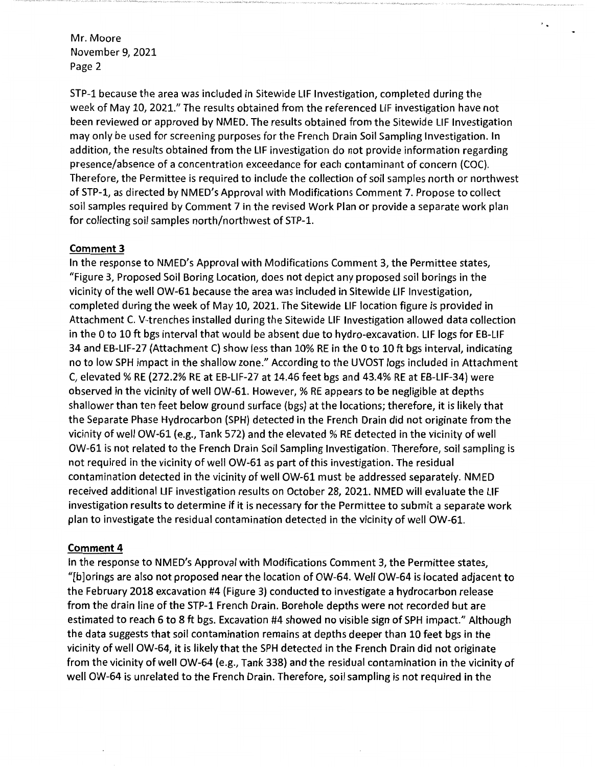STP-1 because the area was included in Sitewide LIF Investigation, completed during the week of May 10, 2021." The results obtained from the referenced LIF investigation have not been reviewed or approved by NMED. The results obtained from the Sitewide LIF Investigation may only be used for screening purposes for the French Drain Soil Sampling Investigation. In addition, the results obtained from the LIF investigation do not provide information regarding presence/absence of a concentration exceedance for each contaminant of concern (COC). Therefore, the Permittee is required to include the collection of soil samples north or northwest of STP-1, as directed by NMED's Approval with Modifications Comment 7. Propose to collect soil samples required by Comment 7 in the revised Work Plan or provide a separate work plan for collecting soil samples north/northwest of STP-1.

 $\lambda$ 

#### **Comment 3**

In the response to NMED's Approval with Modifications Comment 3, the Permittee states, "Figure 3, Proposed Soil Boring Location, does not depict any proposed soil borings in the vicinity of the well OW-61 because the area was included in Sitewide LIF Investigation, completed during the week of May 10, 2021. The Sitewide LIF location figure is provided in Attachment C. V-trenches installed during the Sitewide LIF Investigation allowed data collection in the Oto 10 ft bgs interval that would be absent due to hydro-excavation. LIF logs for EB-LIF 34 and EB-LIF-27 (Attachment C) show less than 10% RE in the Oto 10 ft bgs interval, indicating no to low SPH impact in the shallow zone." According to the UVOST logs included in Attachment C, elevated% RE (272.2% RE at EB-LIF-27 at 14.46 feet bgs and 43.4% RE at EB-LIF-34} were observed in the vicinity of well OW-61. However,% RE appears to be negligible at depths shallower than ten feet below ground surface (bgs) at the locations; therefore, it is likely that the Separate Phase Hydrocarbon (SPH} detected in the French Drain did not originate from the vicinity of well OW-61 (e.g., Tank 572) and the elevated % RE detected in the vicinity of well OW-61 is not related to the French Drain Soil Sampling Investigation. Therefore, soil sampling is not required in the vicinity of well OW-61 as part of this investigation. The residual contamination detected in the vicinity of well OW-61 must be addressed separately. NMED received additional LIF investigation results on October 28, 2021. NMED will evaluate the LIF investigation results to determine if it is necessary for the Permittee to submit a separate work plan to investigate the residual contamination detected in the vicinity of well OW-61.

#### **Comment 4**

In the response to NMED's Approval with Modifications Comment 3, the Permittee states, "[b]orings are also not proposed near the location of OW-64. Well OW-64 is located adjacent to the February 2018 excavation #4 (Figure 3) conducted to investigate a hydrocarbon release from the drain line of the STP-1 French Drain. Borehole depths were not recorded but are estimated to reach 6 to 8 ft bgs. Excavation #4 showed no visible sign of SPH impact." Although the data suggests that soil contamination remains at depths deeper than 10 feet bgs in the vicinity of well OW-64, it is likely that the SPH detected in the French Drain did not originate from the vicinity of well OW-64 (e.g., Tank 338) and the residual contamination in the vicinity of well OW-64 is unrelated to the French Drain. Therefore, soil sampling is not required in the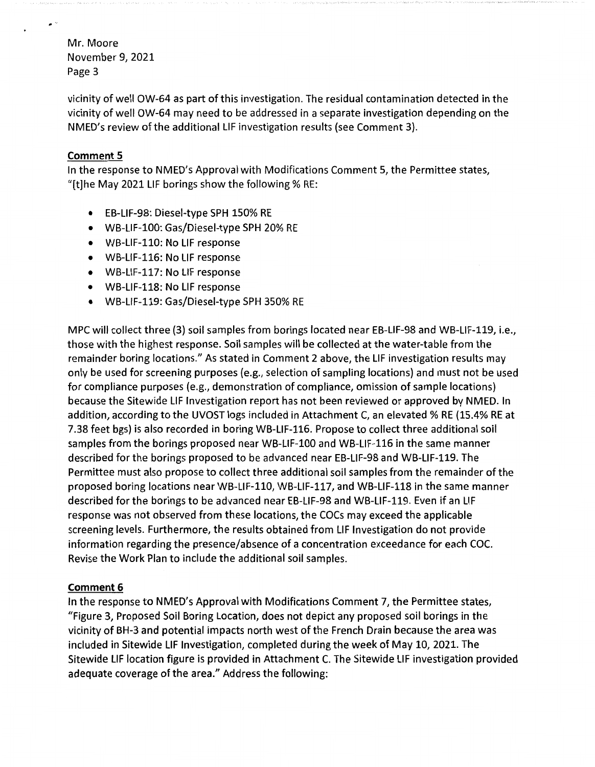vicinity of well OW-64 as part of this investigation. The residual contamination detected in the vicinity of well OW-64 may need to be addressed in a separate investigation depending on the NMED's review of the additional LIF investigation results (see Comment 3).

# **Comment 5**

In the response to NMED's Approval with Modifications Comment 5, the Permittee states, "[t]he May 2021 LIF borings show the following% RE:

- EB-LIF-98: Diesel-type SPH 150% RE
- WB-LIF-100: Gas/Diesel-type SPH 20% RE
- WB-LIF-110: No LIF response
- WB-LIF-116: No LIF response
- WB-LIF-117: No LIF response
- WB-LIF-118: No LIF response
- WB-LIF-119: Gas/Diesel-type SPH 350% RE

MPC will collect three (3) soil samples from borings located near EB-LIF-98 and WB-LIF-119, i.e., those with the highest response. Soil samples will be collected at the water-table from the remainder boring locations." As stated in Comment 2 above, the LIF investigation results may only be used for screening purposes (e.g., selection of sampling locations) and must not be used for compliance purposes (e.g., demonstration of compliance, omission of sample locations) because the Sitewide LIF Investigation report has not been reviewed or approved by NMED. In addition, according to the UVOST logs included in Attachment C, an elevated % RE (15.4% RE at 7.38 feet bgs) is also recorded in boring WB-LIF-116. Propose to collect three additional soil samples from the borings proposed near WB-LIF-100 and WB-LIF-116 in the same manner described for the borings proposed to be advanced near EB-LIF-98 and WB-LIF-119. The Permittee must also propose to collect three additional soil samples from the remainder of the proposed boring locations near WB-LIF-110, WB-LIF-117, and WB-LIF-118 in the same manner described for the borings to be advanced near EB-LIF-98 and WB-LIF-119. Even if an LIF response was not observed from these locations, the COCs may exceed the applicable screening levels. Furthermore, the results obtained from LIF Investigation do not provide information regarding the presence/absence of a concentration exceedance for each COC. Revise the Work Plan to include the additional soil samples.

## **Comment 6**

In the response to NMED's Approval with Modifications Comment 7, the Permittee states, "Figure 3, Proposed Soil Boring Location, does not depict any proposed soil borings in the vicinity of BH-3 and potential impacts north west of the French Drain because the area was included in Sitewide LIF Investigation, completed during the week of May 10, 2021. The Sitewide LIF location figure is provided in Attachment C. The Sitewide LIF investigation provided adequate coverage of the area." Address the following: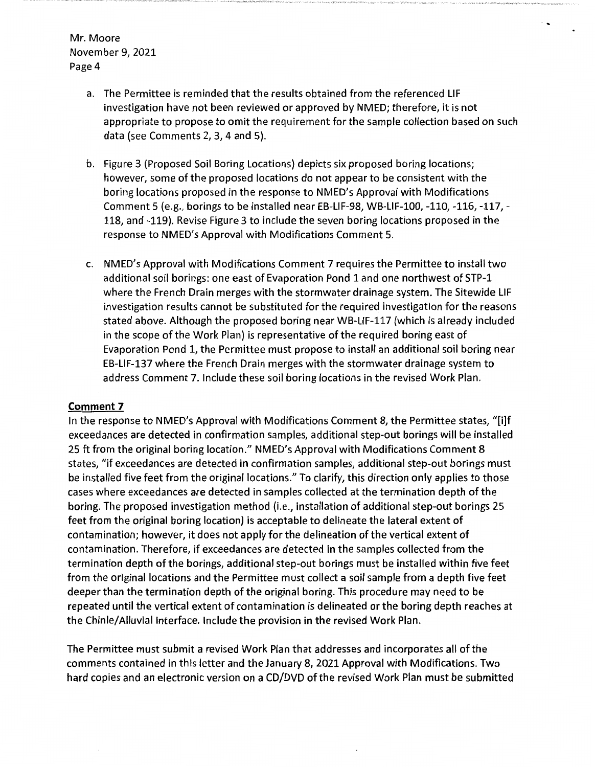> a. The Permittee is reminded that the results obtained from the referenced LIF investigation have not been reviewed or approved by NMED; therefore, it is not appropriate to propose to omit the requirement for the sample collection based on such data (see Comments 2, 3, 4 and 5).

''

- b. Figure 3 (Proposed Soil Boring Locations) depicts six proposed boring locations; however, some of the proposed locations do not appear to be consistent with the boring locations proposed in the response to NMED's Approval with Modifications Comment 5 (e.g., borings to be installed near EB-LIF-98, WB-LIF-100, -110, -116, -117, - 118, and -119). Revise Figure 3 to include the seven boring locations proposed in the response to NMED's Approval with Modifications Comment 5.
- c. NMED's Approval with Modifications Comment 7 requires the Permittee to install two additional soil borings: one east of Evaporation Pond 1 and one northwest of STP-1 where the French Drain merges with the stormwater drainage system. The Sitewide LIF investigation results cannot be substituted for the required investigation for the reasons stated above. Although the proposed boring near WB-LIF-117 (which is already included in the scope of the Work Plan) is representative of the required boring east of Evaporation Pond 1, the Permittee must propose to install an additional soil boring near EB-LIF-137 where the French Drain merges with the stormwater drainage system to address Comment 7. Include these soil boring locations in the revised Work Plan.

#### **Comment 7**

In the response to NMED's Approval with Modifications Comment 8, the Permittee states, "[i]f exceedances are detected in confirmation samples, additional step-out borings will be installed 25 ft from the original boring location." NMED's Approval with Modifications Comment 8 states, "if exceedances are detected in confirmation samples, additional step-out borings must be installed five feet from the original locations." To clarify, this direction only applies to those cases where exceedances are detected in samples collected at the termination depth of the boring. The proposed investigation method (i.e., installation of additional step-out borings 25 feet from the original boring location) is acceptable to delineate the lateral extent of contamination; however, it does not apply for the delineation of the vertical extent of contamination. Therefore, if exceedances are detected in the samples collected from the termination depth of the borings, additional step-out borings must be installed within five feet from the original locations and the Permittee must collect a soil sample from a depth five feet deeper than the termination depth of the original boring. This procedure may need to be repeated until the vertical extent of contamination is delineated or the boring depth reaches at the Chinle/Alluvial interface. Include the provision in the revised Work Plan.

The Permittee must submit a revised Work Plan that addresses and incorporates all of the comments contained in this letter and the January 8, 2021 Approval with Modifications. Two hard copies and an electronic version on a CD/DVD of the revised Work Plan must be submitted